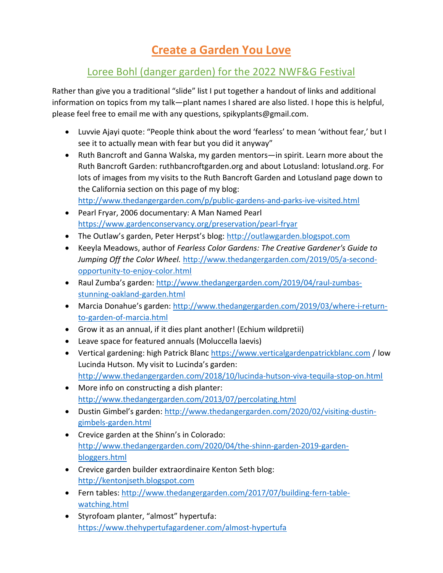## Create a Garden You Love

## Loree Bohl (danger garden) for the 2022 NWF&G Festival

Rather than give you a traditional "slide" list I put together a handout of links and additional information on topics from my talk—plant names I shared are also listed. I hope this is helpful, please feel free to email me with any questions, spikyplants@gmail.com.

- Luvvie Ajayi quote: "People think about the word 'fearless' to mean 'without fear,' but I see it to actually mean with fear but you did it anyway"
- Ruth Bancroft and Ganna Walska, my garden mentors—in spirit. Learn more about the Ruth Bancroft Garden: ruthbancroftgarden.org and about Lotusland: lotusland.org. For lots of images from my visits to the Ruth Bancroft Garden and Lotusland page down to the California section on this page of my blog: http://www.thedangergarden.com/p/public-gardens-and-parks-ive-visited.html
- Pearl Fryar, 2006 documentary: A Man Named Pearl https://www.gardenconservancy.org/preservation/pearl-fryar
- The Outlaw's garden, Peter Herpst's blog: http://outlawgarden.blogspot.com
- Keeyla Meadows, author of Fearless Color Gardens: The Creative Gardener's Guide to Jumping Off the Color Wheel. http://www.thedangergarden.com/2019/05/a-secondopportunity-to-enjoy-color.html
- Raul Zumba's garden: http://www.thedangergarden.com/2019/04/raul-zumbasstunning-oakland-garden.html
- Marcia Donahue's garden: http://www.thedangergarden.com/2019/03/where-i-returnto-garden-of-marcia.html
- Grow it as an annual, if it dies plant another! (Echium wildpretii)
- Leave space for featured annuals (Moluccella laevis)
- Vertical gardening: high Patrick Blanc https://www.verticalgardenpatrickblanc.com / low Lucinda Hutson. My visit to Lucinda's garden: http://www.thedangergarden.com/2018/10/lucinda-hutson-viva-tequila-stop-on.html
- More info on constructing a dish planter: http://www.thedangergarden.com/2013/07/percolating.html
- Dustin Gimbel's garden: http://www.thedangergarden.com/2020/02/visiting-dustingimbels-garden.html
- Crevice garden at the Shinn's in Colorado: http://www.thedangergarden.com/2020/04/the-shinn-garden-2019-gardenbloggers.html
- Crevice garden builder extraordinaire Kenton Seth blog: http://kentonjseth.blogspot.com
- Fern tables: http://www.thedangergarden.com/2017/07/building-fern-tablewatching.html
- Styrofoam planter, "almost" hypertufa: https://www.thehypertufagardener.com/almost-hypertufa